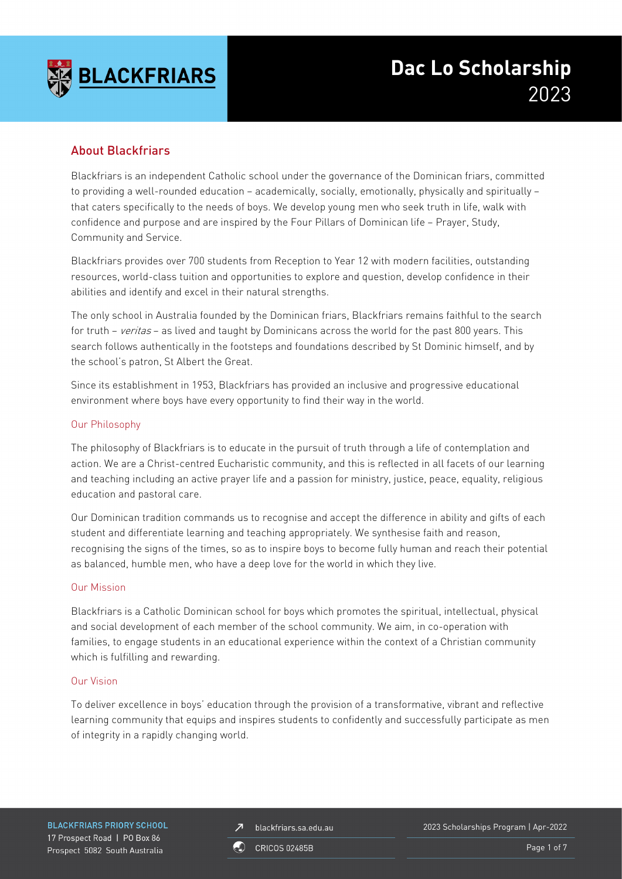

## About Blackfriars

Blackfriars is an independent Catholic school under the governance of the Dominican friars, committed to providing a well-rounded education – academically, socially, emotionally, physically and spiritually – that caters specifically to the needs of boys. We develop young men who seek truth in life, walk with confidence and purpose and are inspired by the Four Pillars of Dominican life – Prayer, Study, Community and Service.

Blackfriars provides over 700 students from Reception to Year 12 with modern facilities, outstanding resources, world-class tuition and opportunities to explore and question, develop confidence in their abilities and identify and excel in their natural strengths.

The only school in Australia founded by the Dominican friars, Blackfriars remains faithful to the search for truth – veritas – as lived and taught by Dominicans across the world for the past 800 years. This search follows authentically in the footsteps and foundations described by St Dominic himself, and by the school's patron, St Albert the Great.

Since its establishment in 1953, Blackfriars has provided an inclusive and progressive educational environment where boys have every opportunity to find their way in the world.

#### Our Philosophy

The philosophy of Blackfriars is to educate in the pursuit of truth through a life of contemplation and action. We are a Christ-centred Eucharistic community, and this is reflected in all facets of our learning and teaching including an active prayer life and a passion for ministry, justice, peace, equality, religious education and pastoral care.

Our Dominican tradition commands us to recognise and accept the difference in ability and gifts of each student and differentiate learning and teaching appropriately. We synthesise faith and reason, recognising the signs of the times, so as to inspire boys to become fully human and reach their potential as balanced, humble men, who have a deep love for the world in which they live.

#### Our Mission

Blackfriars is a Catholic Dominican school for boys which promotes the spiritual, intellectual, physical and social development of each member of the school community. We aim, in co-operation with families, to engage students in an educational experience within the context of a Christian community which is fulfilling and rewarding.

#### Our Vision

To deliver excellence in boys' education through the provision of a transformative, vibrant and reflective learning community that equips and inspires students to confidently and successfully participate as men of integrity in a rapidly changing world.

**BLACKFRIARS PRIORY SCHOOL** 17 Prospect Road | PO Box 86 Prospect 5082 South Australia

blackfriars.sa.edu.au  $\overline{\mathbf{z}}$ 

2023 Scholarships Program | Apr-2022

**CRICOS 02485B** 

Page 1 of 7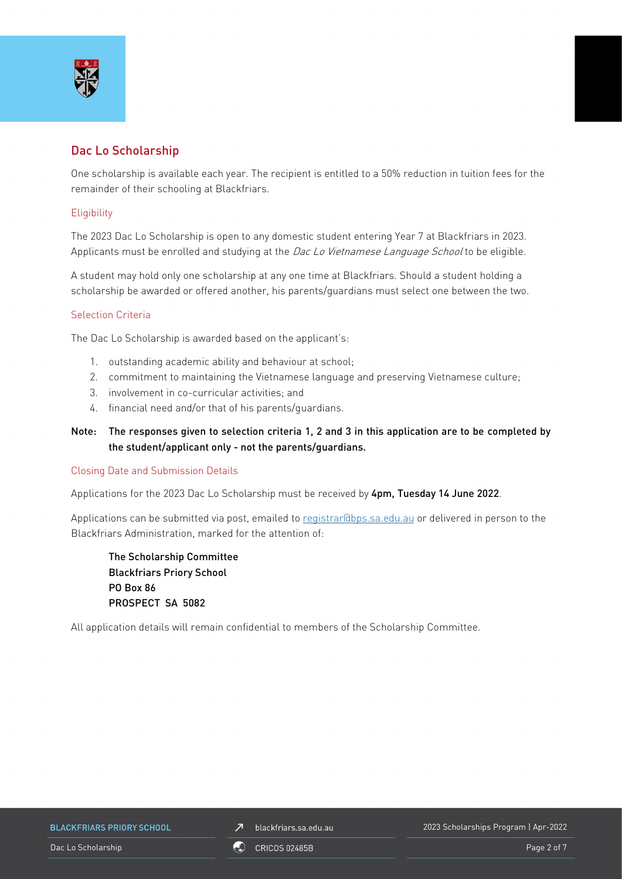

## Dac Lo Scholarship

One scholarship is available each year. The recipient is entitled to a 50% reduction in tuition fees for the remainder of their schooling at Blackfriars.

#### **Eligibility**

The 2023 Dac Lo Scholarship is open to any domestic student entering Year 7 at Blackfriars in 2023. Applicants must be enrolled and studying at the Dac Lo Vietnamese Language School to be eligible.

A student may hold only one scholarship at any one time at Blackfriars. Should a student holding a scholarship be awarded or offered another, his parents/guardians must select one between the two.

#### Selection Criteria

The Dac Lo Scholarship is awarded based on the applicant's:

- 1. outstanding academic ability and behaviour at school;
- 2. commitment to maintaining the Vietnamese language and preserving Vietnamese culture;
- 3. involvement in co-curricular activities; and
- 4. financial need and/or that of his parents/guardians.
- Note: The responses given to selection criteria 1, 2 and 3 in this application are to be completed by the student/applicant only - not the parents/guardians.

#### Closing Date and Submission Details

Applications for the 2023 Dac Lo Scholarship must be received by 4pm, Tuesday 14 June 2022.

Applications can be submitted via post, emailed to [registrar@bps.sa.edu.au](mailto:registrar@bps.sa.edu.au) or delivered in person to the Blackfriars Administration, marked for the attention of:

The Scholarship Committee Blackfriars Priory School PO Box 86 PROSPECT SA 5082

All application details will remain confidential to members of the Scholarship Committee.

**BLACKFRIARS PRIORY SCHOOL** 

 $\n *J*\n blackfriars.sa.edu.au\n$ 

2023 Scholarships Program | Apr-2022

Dac Lo Scholarship **Page 2 of 7** ORICOS 02485B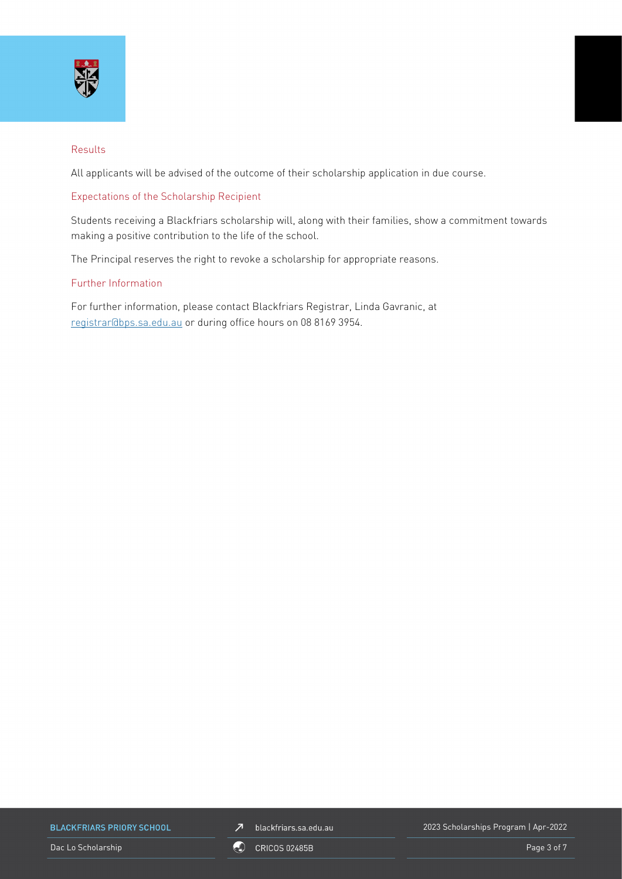

#### Results

All applicants will be advised of the outcome of their scholarship application in due course.

#### Expectations of the Scholarship Recipient

Students receiving a Blackfriars scholarship will, along with their families, show a commitment towards making a positive contribution to the life of the school.

The Principal reserves the right to revoke a scholarship for appropriate reasons.

#### Further Information

For further information, please contact Blackfriars Registrar, Linda Gavranic, at [registrar@bps.sa.edu.au](mailto:registrar@bps.sa.edu.au) or during office hours on 08 8169 3954.

**BLACKFRIARS PRIORY SCHOOL** 



2023 Scholarships Program | Apr-2022

Dac Lo Scholarship **Page 3 of 7** ORICOS 02485B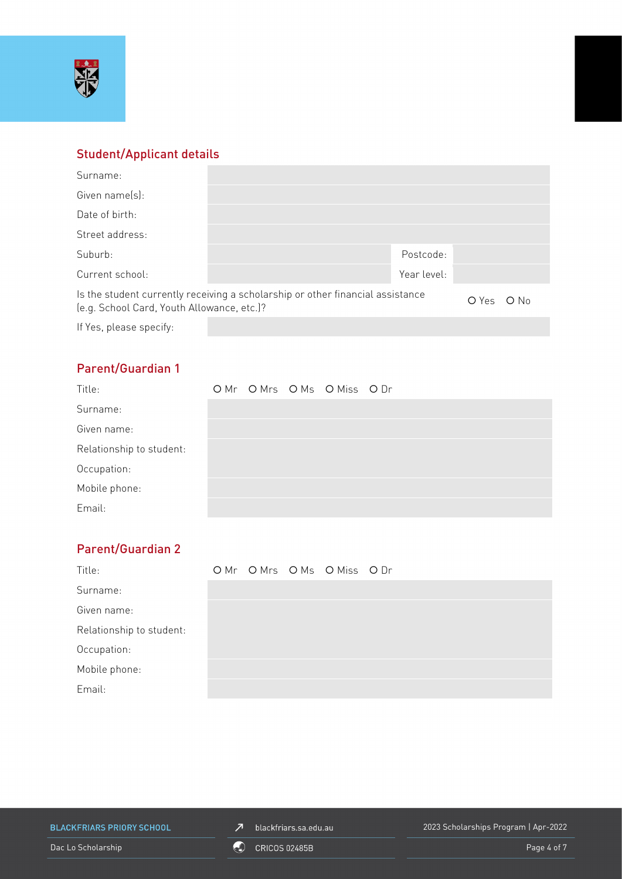

# Student/Applicant details

| Surname:                                                                                                                     |  |             |       |               |
|------------------------------------------------------------------------------------------------------------------------------|--|-------------|-------|---------------|
| Given name(s):                                                                                                               |  |             |       |               |
| Date of birth:                                                                                                               |  |             |       |               |
| Street address:                                                                                                              |  |             |       |               |
| Suburb:                                                                                                                      |  | Postcode:   |       |               |
| Current school:                                                                                                              |  | Year level: |       |               |
| Is the student currently receiving a scholarship or other financial assistance<br>(e.g. School Card, Youth Allowance, etc.)? |  |             | O Yes | $\bigcirc$ No |
| If Yes, please specify:                                                                                                      |  |             |       |               |

# Parent/Guardian 1

| Title:                   |  | OMr OMrs OMs OMiss ODr |  |
|--------------------------|--|------------------------|--|
| Surname:                 |  |                        |  |
| Given name:              |  |                        |  |
| Relationship to student: |  |                        |  |
| Occupation:              |  |                        |  |
| Mobile phone:            |  |                        |  |
| Email:                   |  |                        |  |

# Parent/Guardian 2

| Title:                   |  | OMr OMrs OMs OMiss ODr |  |
|--------------------------|--|------------------------|--|
| Surname:                 |  |                        |  |
| Given name:              |  |                        |  |
| Relationship to student: |  |                        |  |
| Occupation:              |  |                        |  |
| Mobile phone:            |  |                        |  |
| Email:                   |  |                        |  |

**BLACKFRIARS PRIORY SCHOOL** 

 $\n *J*\n blackfriars.sa.edu.au\n$ 

2023 Scholarships Program | Apr-2022

Dac Lo Scholarship **Contract Contract Contract Contract Contract Contract Contract Contract Contract Contract Contract Contract Contract Contract Contract Contract Contract Contract Contract Contract Contract Contract Cont**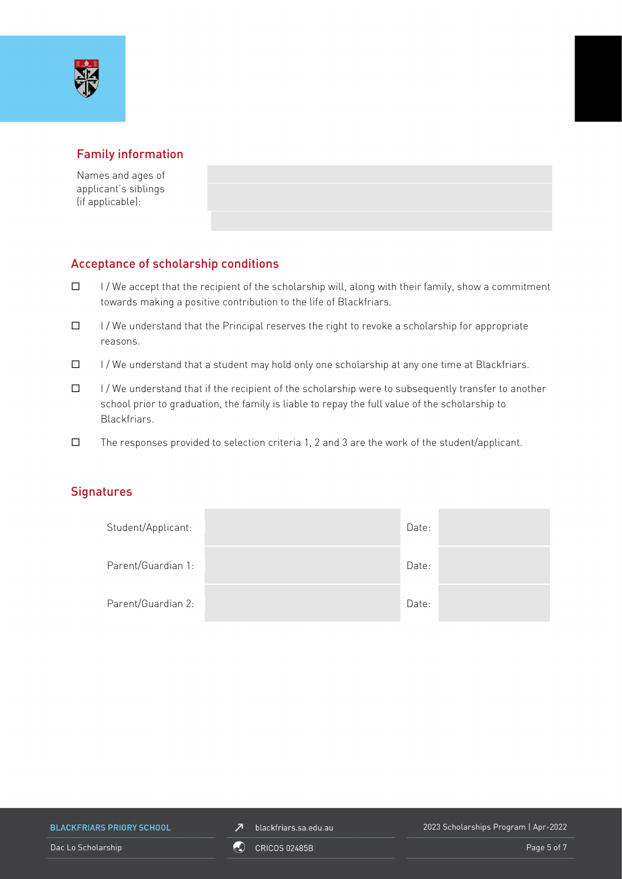## Family information

Names and ages of applicant's siblings (if applicable):

## Acceptance of scholarship conditions

- $\Box$  I/We accept that the recipient of the scholarship will, along with their family, show a commitment towards making a positive contribution to the life of Blackfriars.
- $\Box$  I/We understand that the Principal reserves the right to revoke a scholarship for appropriate reasons.
- $\Box$  I/We understand that a student may hold only one scholarship at any one time at Blackfriars.
- $\Box$  I/We understand that if the recipient of the scholarship were to subsequently transfer to another school prior to graduation, the family is liable to repay the full value of the scholarship to Blackfriars.
- $\square$  The responses provided to selection criteria 1, 2 and 3 are the work of the student/applicant.

### **Signatures**

| Student/Applicant: | Date: |  |
|--------------------|-------|--|
| Parent/Guardian 1: | Date: |  |
| Parent/Guardian 2: | Date: |  |

**BLACKFRIARS PRIORY SCHOOL** 

 $\n *J*\n blackfriars.sa.edu.au\n$ 

2023 Scholarships Program | Apr-2022

Dac Lo Scholarship **Page 5 of 7** ORICOS 02485B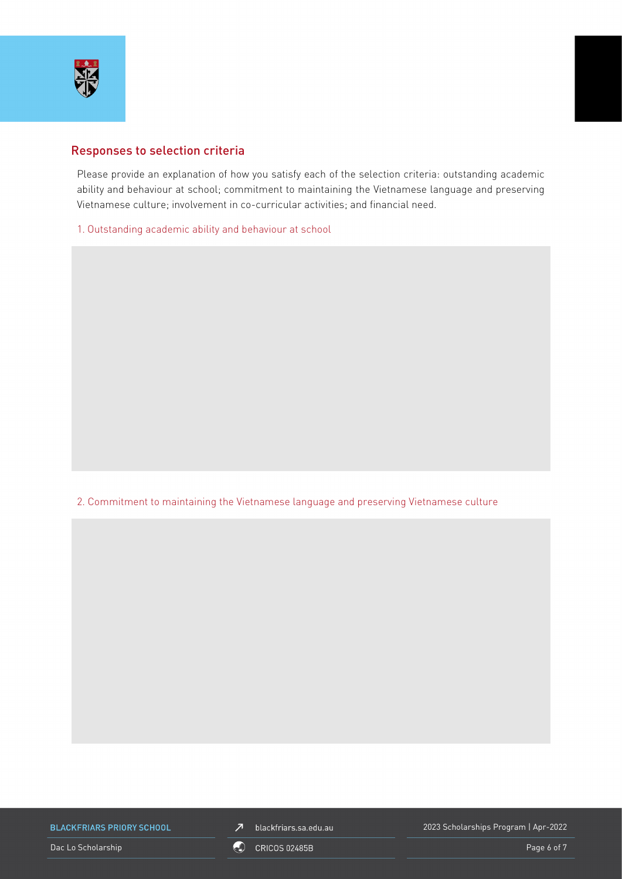

### Responses to selection criteria

Please provide an explanation of how you satisfy each of the selection criteria: outstanding academic ability and behaviour at school; commitment to maintaining the Vietnamese language and preserving Vietnamese culture; involvement in co-curricular activities; and financial need.

1. Outstanding academic ability and behaviour at school

2. Commitment to maintaining the Vietnamese language and preserving Vietnamese culture

**BLACKFRIARS PRIORY SCHOOL** 



2023 Scholarships Program | Apr-2022